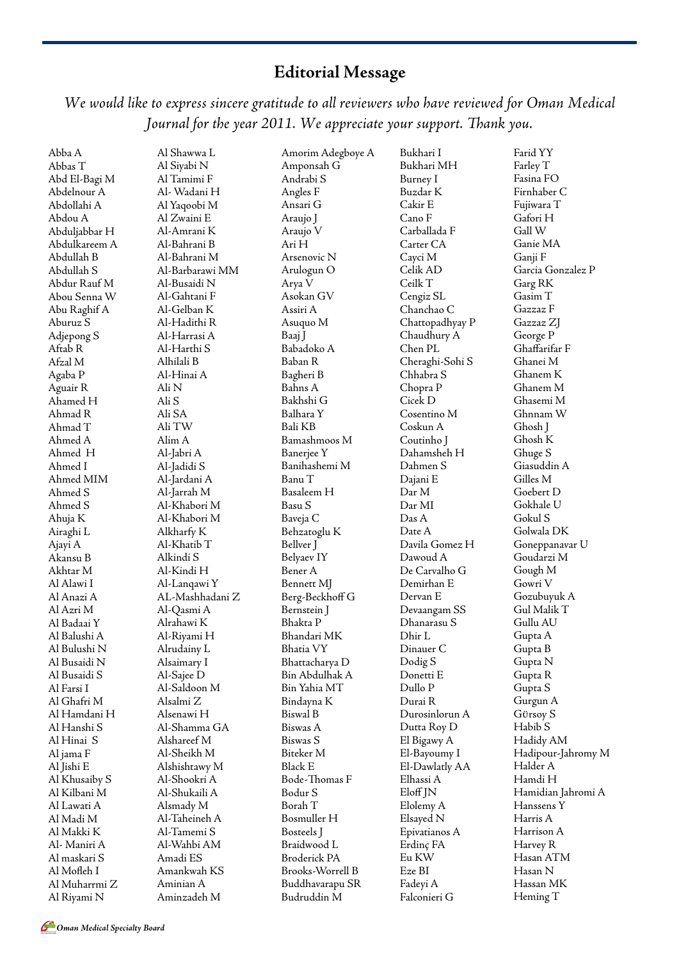## **Editorial Message**

## *We would like to express sincere gratitude to all reviewers who have reviewed for Oman Medical Journal for the year 2011. We appreciate your support. Thank you.*

| Abba A        | Al Shawwa L     | Amorim Adegboye A | Bukhari I       | Farid YY           |
|---------------|-----------------|-------------------|-----------------|--------------------|
| Abbas T       | Al Siyabi N     | Amponsah G        | Bukhari MH      | Farley T           |
| Abd El-Bagi M | Al Tamimi F     | Andrabi S         | Burney I        | Fasina FO          |
| Abdelnour A   | Al- Wadani H    | Angles F          | Buzdar K        | Firnhaber C        |
| Abdollahi A   | Al Yaqoobi M    | Ansari G          | Cakir E         | Fujiwara T         |
| Abdou A       | Al Zwaini E     | Araujo J          | Cano F          | Gafori H           |
| Abduljabbar H | Al-Amrani K     | Araujo V          | Carballada F    | Gall W             |
| Abdulkareem A | Al-Bahrani B    | Ari H             | Carter CA       | Ganie MA           |
| Abdullah B    | Al-Bahrani M    | Arsenovic N       | Cayci M         | Ganji F            |
| Abdullah S    | Al-Barbarawi MM | Arulogun O        | Celik AD        | Garcia Gonzalez P  |
| Abdur Rauf M  | Al-Busaidi N    | Arya V            | Ceilk T         | Garg RK            |
| Abou Senna W  | Al-Gahtani F    | Asokan GV         | Cengiz SL       | Gasim T            |
| Abu Raghif A  | Al-Gelban K     | Assiri A          | Chanchao C      | Gazzaz F           |
| Aburuz S      | Al-Hadithi R    | Asuquo M          | Chattopadhyay P | Gazzaz ZJ          |
| Adjepong S    | Al-Harrasi A    | Baaj J            | Chaudhury A     | George P           |
| Aftab R       | Al-Harthi S     | Babadoko A        | Chen PL         | Ghaffarifar F      |
| Afzal M       | Alhilali B      | Baban R           | Cheraghi-Sohi S | Ghanei M           |
| Agaba P       | Al-Hinai A      | Bagheri B         | Chhabra S       | Ghanem K           |
| Aguair R      | Ali N           | Bahns A           | Chopra P        | Ghanem M           |
| Ahamed H      | Ali S           | Bakhshi G         | Cicek D         | Ghasemi M          |
| Ahmad R       | Ali SA          | Balhara Y         | Cosentino M     | Ghnnam W           |
| Ahmad T       | Ali TW          | <b>Bali KB</b>    | Coskun A        | Ghosh J            |
| Ahmed A       | Alim A          | Bamashmoos M      | Coutinho J      | Ghosh K            |
| Ahmed H       | Al-Jabri A      | Banerjee Y        | Dahamsheh H     | Ghuge S            |
| Ahmed I       | Al-Jadidi S     | Banihashemi M     | Dahmen S        | Giasuddin A        |
| Ahmed MIM     | Al-Jardani A    | Banu T            | Dajani E        | Gilles M           |
| Ahmed S       | Al-Jarrah M     | Basaleem H        | Dar M           | Goebert D          |
| Ahmed S       | Al-Khabori M    | Basu S            | Dar MI          | Gokhale U          |
| Ahuja K       | Al-Khabori M    | Baveja C          | Das A           | Gokul S            |
| Airaghi L     | Alkharfy K      | Behzatoglu K      | Date A          | Golwala DK         |
| Ajayi A       | Al-Khatib T     | Bellver J         | Davila Gomez H  | Goneppanavar U     |
| Akansu B      | Alkindi S       | Belyaev IY        | Dawoud A        | Goudarzi M         |
| Akhtar M      | Al-Kindi H      | Bener A           | De Carvalho G   | Gough M            |
| Al Alawi I    | Al-Lanqawi Y    | Bennett MJ        | Demirhan E      | Gowri V            |
| Al Anazi A    | AL-Mashhadani Z | Berg-Beckhoff G   | Dervan E        | Gozubuyuk A        |
| Al Azri M     | Al-Qasmi A      | Bernstein J       | Devaangam SS    | Gul Malik T        |
| Al Badaai Y   | Alrahawi K      | Bhakta P          | Dhanarasu S     | Gullu AU           |
| Al Balushi A  | Al-Riyami H     | Bhandari MK       | Dhir L          | Gupta A            |
| Al Bulushi N  | Alrudainy L     | Bhatia VY         | Dinauer C       | Gupta B            |
| Al Busaidi N  | Alsaimary I     | Bhattacharya D    | Dodig S         | Gupta N            |
| Al Busaidi S  | Al-Sajee D      | Bin Abdulhak A    | Donetti E       | Gupta R            |
| Al Farsi I    | Al-Saldoon M    | Bin Yahia MT      | Dullo P         | Gupta S            |
| Al Ghafri M   | Alsalmi Z       | Bindayna K        | Durai R         | Gurgun A           |
| Al Hamdani H  | Alsenawi H      | <b>Biswal B</b>   | Durosinlorun A  | Gürsoy S           |
| Al Hanshi S   | Al-Shamma GA    | Biswas A          | Dutta Roy D     | Habib S            |
| Al Hinai S    | Alshareef M     | Biswas S          | El Bigawy A     | Hadidy AM          |
| Al jama F     | Al-Sheikh M     | Biteker M         | El-Bayoumy I    | Hadipour-Jahromy M |
| Al Jishi E    | Alshishtawy M   | <b>Black E</b>    | El-Dawlatly AA  | Halder A           |
| Al Khusaiby S | Al-Shookri A    | Bode-Thomas F     | Elhassi A       | Hamdi H            |
| Al Kilbani M  | Al-Shukaili A   | Bodur S           | Eloff JN        | Hamidian Jahromi A |
| Al Lawati A   | Alsmady M       | Borah T           | Elolemy A       | Hanssens Y         |
| Al Madi M     | Al-Taheineh A   | Bosmuller H       | Elsayed N       | Harris A           |
| Al Makki K    | Al-Tamemi S     | Bosteels J        | Epivatianos A   | Harrison A         |
| Al- Maniri A  | Al-Wahbi AM     | Braidwood L       | Erdinç FA       | Harvey R           |
| Al maskari S  | Amadi ES        | Broderick PA      | Eu KW           | Hasan ATM          |
| Al Mofleh I   | Amankwah KS     | Brooks-Worrell B  | Eze BI          | Hasan N            |
| Al Muharrmi Z | Aminian A       | Buddhavarapu SR   | Fadeyi A        | Hassan MK          |
| Al Riyami N   | Aminzadeh M     | Budruddin M       | Falconieri G    | Heming T           |